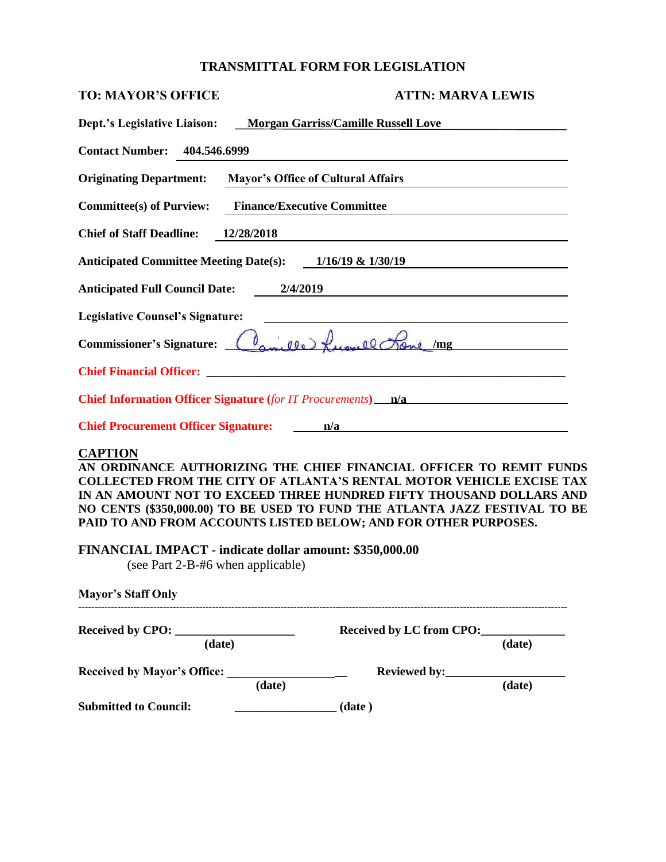# **TRANSMITTAL FORM FOR LEGISLATION**

| <b>TO: MAYOR'S OFFICE</b>                                                                                                                                                         | <b>ATTN: MARVA LEWIS</b>                                                                                                                                                                                                                                                                                |
|-----------------------------------------------------------------------------------------------------------------------------------------------------------------------------------|---------------------------------------------------------------------------------------------------------------------------------------------------------------------------------------------------------------------------------------------------------------------------------------------------------|
| <b>Dept.'s Legislative Liaison:</b>                                                                                                                                               | <b>Morgan Garriss/Camille Russell Love</b>                                                                                                                                                                                                                                                              |
| <b>Contact Number: 404.546.6999</b>                                                                                                                                               |                                                                                                                                                                                                                                                                                                         |
| <b>Originating Department:</b>                                                                                                                                                    | <b>Mayor's Office of Cultural Affairs</b>                                                                                                                                                                                                                                                               |
| <b>Finance/Executive Committee</b><br><b>Committee(s) of Purview:</b>                                                                                                             |                                                                                                                                                                                                                                                                                                         |
| <b>Chief of Staff Deadline:</b><br>12/28/2018                                                                                                                                     |                                                                                                                                                                                                                                                                                                         |
| <b>Anticipated Committee Meeting Date(s):</b>                                                                                                                                     | $1/16/19$ & $1/30/19$                                                                                                                                                                                                                                                                                   |
| <b>Anticipated Full Council Date:</b><br>2/4/2019                                                                                                                                 |                                                                                                                                                                                                                                                                                                         |
| <b>Legislative Counsel's Signature:</b>                                                                                                                                           |                                                                                                                                                                                                                                                                                                         |
| <b>Commissioner's Signature:</b>                                                                                                                                                  | amille Lunell Lone mg                                                                                                                                                                                                                                                                                   |
|                                                                                                                                                                                   |                                                                                                                                                                                                                                                                                                         |
|                                                                                                                                                                                   | <b>Chief Information Officer Signature</b> (for IT Procurements) ___ <b>n/a</b>                                                                                                                                                                                                                         |
|                                                                                                                                                                                   | Chief Procurement Officer Signature: 1201 1202 1202 1203 1204 1205 1206 1207 1208 1209 1208 1209 120                                                                                                                                                                                                    |
| <b>CAPTION</b><br>PAID TO AND FROM ACCOUNTS LISTED BELOW; AND FOR OTHER PURPOSES.<br>FINANCIAL IMPACT - indicate dollar amount: \$350,000.00<br>(see Part 2-B-#6 when applicable) | AN ORDINANCE AUTHORIZING THE CHIEF FINANCIAL OFFICER TO REMIT FUNDS<br><b>COLLECTED FROM THE CITY OF ATLANTA'S RENTAL MOTOR VEHICLE EXCISE TAX</b><br>IN AN AMOUNT NOT TO EXCEED THREE HUNDRED FIFTY THOUSAND DOLLARS AND<br>NO CENTS (\$350,000.00) TO BE USED TO FUND THE ATLANTA JAZZ FESTIVAL TO BE |
| <b>Mayor's Staff Only</b>                                                                                                                                                         |                                                                                                                                                                                                                                                                                                         |
| (date)                                                                                                                                                                            | Received by LC from CPO:<br>(date)                                                                                                                                                                                                                                                                      |
| $(\overline{\text{date}})$                                                                                                                                                        | $\overline{(\text{date})}$                                                                                                                                                                                                                                                                              |
| <b>Submitted to Council:</b><br>(date) (date)                                                                                                                                     |                                                                                                                                                                                                                                                                                                         |
|                                                                                                                                                                                   |                                                                                                                                                                                                                                                                                                         |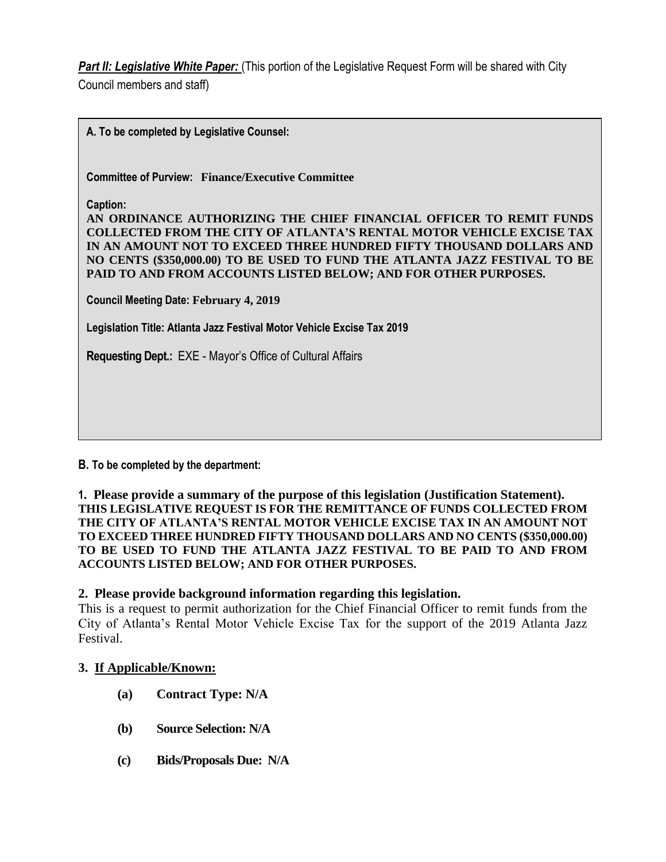**Part II: Legislative White Paper:** (This portion of the Legislative Request Form will be shared with City Council members and staff)

**A. To be completed by Legislative Counsel:** 

**Committee of Purview: Finance/Executive Committee**

**Caption:**

**AN ORDINANCE AUTHORIZING THE CHIEF FINANCIAL OFFICER TO REMIT FUNDS COLLECTED FROM THE CITY OF ATLANTA'S RENTAL MOTOR VEHICLE EXCISE TAX IN AN AMOUNT NOT TO EXCEED THREE HUNDRED FIFTY THOUSAND DOLLARS AND NO CENTS (\$350,000.00) TO BE USED TO FUND THE ATLANTA JAZZ FESTIVAL TO BE PAID TO AND FROM ACCOUNTS LISTED BELOW; AND FOR OTHER PURPOSES.**

**Council Meeting Date: February 4, 2019**

**Legislation Title: Atlanta Jazz Festival Motor Vehicle Excise Tax 2019**

**Requesting Dept.:** EXE - Mayor's Office of Cultural Affairs

#### **B. To be completed by the department:**

**1. Please provide a summary of the purpose of this legislation (Justification Statement). THIS LEGISLATIVE REQUEST IS FOR THE REMITTANCE OF FUNDS COLLECTED FROM THE CITY OF ATLANTA'S RENTAL MOTOR VEHICLE EXCISE TAX IN AN AMOUNT NOT TO EXCEED THREE HUNDRED FIFTY THOUSAND DOLLARS AND NO CENTS (\$350,000.00) TO BE USED TO FUND THE ATLANTA JAZZ FESTIVAL TO BE PAID TO AND FROM ACCOUNTS LISTED BELOW; AND FOR OTHER PURPOSES.**

#### **2. Please provide background information regarding this legislation.**

This is a request to permit authorization for the Chief Financial Officer to remit funds from the City of Atlanta's Rental Motor Vehicle Excise Tax for the support of the 2019 Atlanta Jazz Festival.

#### **3. If Applicable/Known:**

- **(a) Contract Type: N/A**
- **(b) Source Selection: N/A**
- **(c) Bids/Proposals Due: N/A**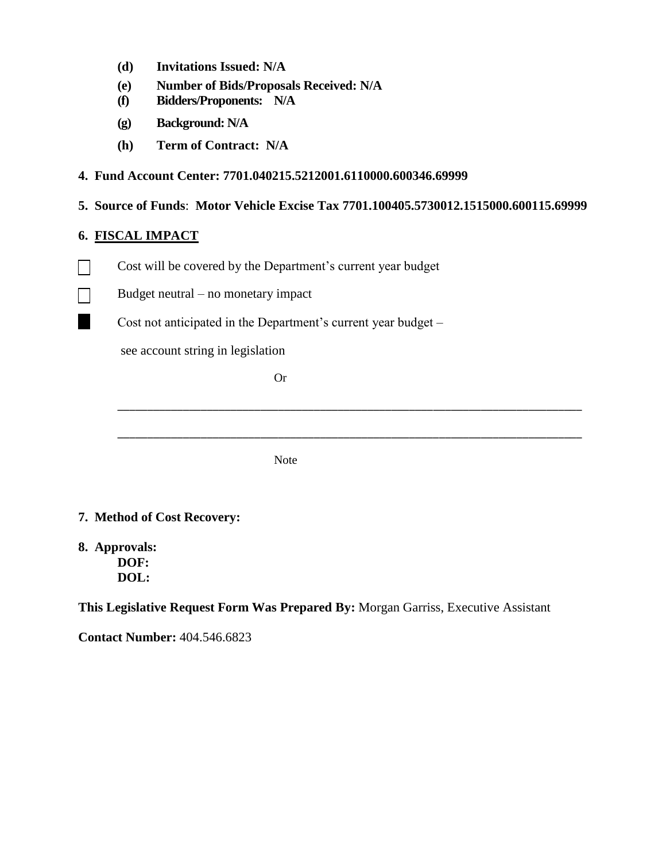- **(d) Invitations Issued: N/A**
- **(e) Number of Bids/Proposals Received: N/A**
- **(f) Bidders/Proponents: N/A**
- **(g) Background: N/A**
- **(h) Term of Contract: N/A**

### **4. Fund Account Center: 7701.040215.5212001.6110000.600346.69999**

**5. Source of Funds**: **Motor Vehicle Excise Tax 7701.100405.5730012.1515000.600115.69999**

\_\_\_\_\_\_\_\_\_\_\_\_\_\_\_\_\_\_\_\_\_\_\_\_\_\_\_\_\_\_\_\_\_\_\_\_\_\_\_\_\_\_\_\_\_\_\_\_\_\_\_\_\_\_\_\_\_\_\_\_\_\_\_\_\_\_\_\_\_\_\_\_\_\_\_\_\_\_

\_\_\_\_\_\_\_\_\_\_\_\_\_\_\_\_\_\_\_\_\_\_\_\_\_\_\_\_\_\_\_\_\_\_\_\_\_\_\_\_\_\_\_\_\_\_\_\_\_\_\_\_\_\_\_\_\_\_\_\_\_\_\_\_\_\_\_\_\_\_\_\_\_\_\_\_\_\_

### **6. FISCAL IMPACT**

- Cost will be covered by the Department's current year budget  $\blacksquare$
- Budget neutral no monetary impact  $\Box$ 
	- Cost not anticipated in the Department's current year budget –

see account string in legislation

Or

Note

### **7. Method of Cost Recovery:**

**8. Approvals: DOF: DOL:**

**This Legislative Request Form Was Prepared By:** Morgan Garriss, Executive Assistant

**Contact Number:** 404.546.6823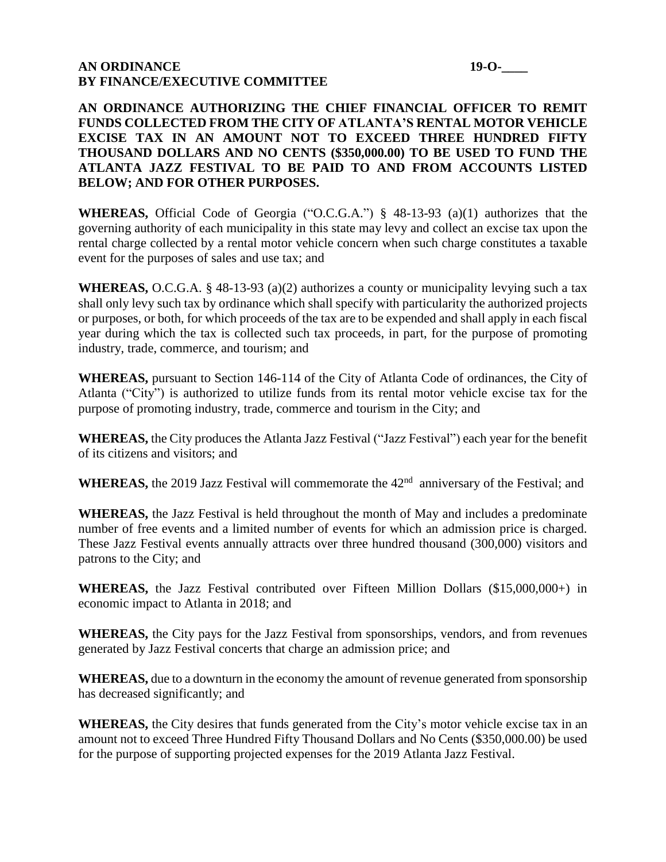#### **AN ORDINANCE** 19-O-**BY FINANCE/EXECUTIVE COMMITTEE**

**AN ORDINANCE AUTHORIZING THE CHIEF FINANCIAL OFFICER TO REMIT FUNDS COLLECTED FROM THE CITY OF ATLANTA'S RENTAL MOTOR VEHICLE EXCISE TAX IN AN AMOUNT NOT TO EXCEED THREE HUNDRED FIFTY THOUSAND DOLLARS AND NO CENTS (\$350,000.00) TO BE USED TO FUND THE ATLANTA JAZZ FESTIVAL TO BE PAID TO AND FROM ACCOUNTS LISTED BELOW; AND FOR OTHER PURPOSES.**

**WHEREAS,** Official Code of Georgia ("O.C.G.A.") § 48-13-93 (a)(1) authorizes that the governing authority of each municipality in this state may levy and collect an excise tax upon the rental charge collected by a rental motor vehicle concern when such charge constitutes a taxable event for the purposes of sales and use tax; and

**WHEREAS,** O.C.G.A. § 48-13-93 (a)(2) authorizes a county or municipality levying such a tax shall only levy such tax by ordinance which shall specify with particularity the authorized projects or purposes, or both, for which proceeds of the tax are to be expended and shall apply in each fiscal year during which the tax is collected such tax proceeds, in part, for the purpose of promoting industry, trade, commerce, and tourism; and

**WHEREAS,** pursuant to Section 146-114 of the City of Atlanta Code of ordinances, the City of Atlanta ("City") is authorized to utilize funds from its rental motor vehicle excise tax for the purpose of promoting industry, trade, commerce and tourism in the City; and

**WHEREAS,** the City produces the Atlanta Jazz Festival ("Jazz Festival") each year for the benefit of its citizens and visitors; and

WHEREAS, the 2019 Jazz Festival will commemorate the 42<sup>nd</sup> anniversary of the Festival; and

**WHEREAS,** the Jazz Festival is held throughout the month of May and includes a predominate number of free events and a limited number of events for which an admission price is charged. These Jazz Festival events annually attracts over three hundred thousand (300,000) visitors and patrons to the City; and

**WHEREAS,** the Jazz Festival contributed over Fifteen Million Dollars (\$15,000,000+) in economic impact to Atlanta in 2018; and

**WHEREAS,** the City pays for the Jazz Festival from sponsorships, vendors, and from revenues generated by Jazz Festival concerts that charge an admission price; and

**WHEREAS,** due to a downturn in the economy the amount of revenue generated from sponsorship has decreased significantly; and

**WHEREAS,** the City desires that funds generated from the City's motor vehicle excise tax in an amount not to exceed Three Hundred Fifty Thousand Dollars and No Cents (\$350,000.00) be used for the purpose of supporting projected expenses for the 2019 Atlanta Jazz Festival.